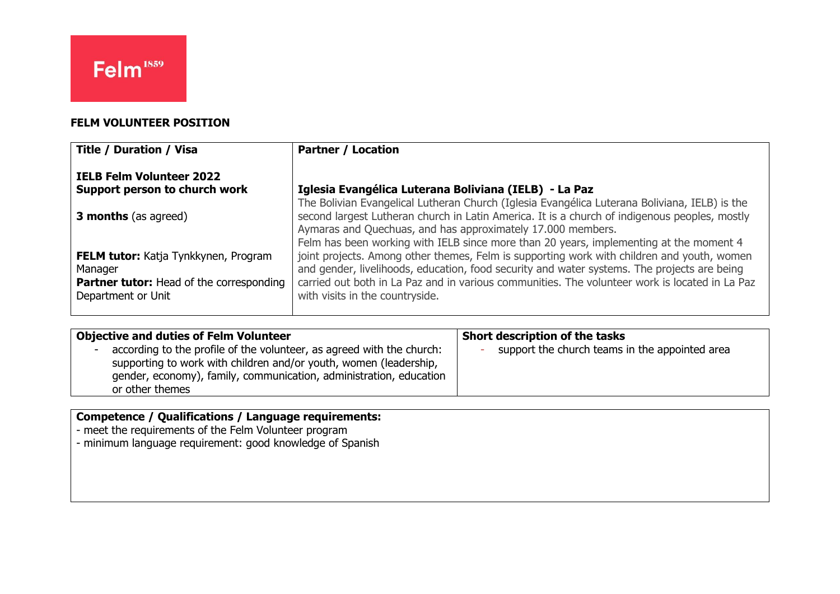# **FELM VOLUNTEER POSITION**

| <b>Title / Duration / Visa</b>                                        | <b>Partner / Location</b>                                                                                                                                                                                                                              |
|-----------------------------------------------------------------------|--------------------------------------------------------------------------------------------------------------------------------------------------------------------------------------------------------------------------------------------------------|
| <b>IELB Felm Volunteer 2022</b><br>Support person to church work      | Iglesia Evangélica Luterana Boliviana (IELB) - La Paz                                                                                                                                                                                                  |
|                                                                       | The Bolivian Evangelical Lutheran Church (Iglesia Evangélica Luterana Boliviana, IELB) is the                                                                                                                                                          |
| <b>3 months</b> (as agreed)                                           | second largest Lutheran church in Latin America. It is a church of indigenous peoples, mostly<br>Aymaras and Quechuas, and has approximately 17.000 members.<br>Felm has been working with IELB since more than 20 years, implementing at the moment 4 |
| <b>FELM tutor:</b> Katja Tynkkynen, Program<br>Manager                | joint projects. Among other themes, Felm is supporting work with children and youth, women<br>and gender, livelihoods, education, food security and water systems. The projects are being                                                              |
| <b>Partner tutor:</b> Head of the corresponding<br>Department or Unit | carried out both in La Paz and in various communities. The volunteer work is located in La Paz<br>with visits in the countryside.                                                                                                                      |

| <b>Objective and duties of Felm Volunteer</b>                                                                                                                                                                                       | Short description of the tasks                 |
|-------------------------------------------------------------------------------------------------------------------------------------------------------------------------------------------------------------------------------------|------------------------------------------------|
| according to the profile of the volunteer, as agreed with the church:<br>supporting to work with children and/or youth, women (leadership,<br>gender, economy), family, communication, administration, education<br>or other themes | support the church teams in the appointed area |

### **Competence / Qualifications / Language requirements:**

- meet the requirements of the Felm Volunteer program

- minimum language requirement: good knowledge of Spanish